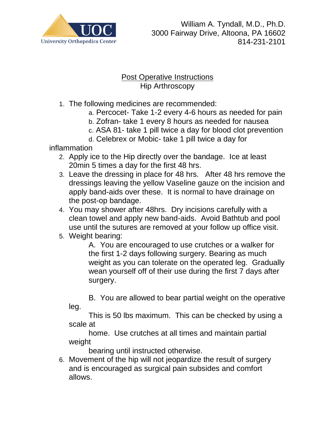

## **Post Operative Instructions** Hip Arthroscopy

- 1. The following medicines are recommended:
	- a. Percocet- Take 1-2 every 4-6 hours as needed for pain
	- b. Zofran- take 1 every 8 hours as needed for nausea
	- c. ASA 81- take 1 pill twice a day for blood clot prevention
	- d. Celebrex or Mobic- take 1 pill twice a day for

inflammation

- 2. Apply ice to the Hip directly over the bandage. Ice at least 20min 5 times a day for the first 48 hrs.
- 3. Leave the dressing in place for 48 hrs. After 48 hrs remove the dressings leaving the yellow Vaseline gauze on the incision and apply band-aids over these. It is normal to have drainage on the post-op bandage.
- 4. You may shower after 48hrs. Dry incisions carefully with a clean towel and apply new band-aids. Avoid Bathtub and pool use until the sutures are removed at your follow up office visit.
- 5. Weight bearing:

A. You are encouraged to use crutches or a walker for the first 1-2 days following surgery. Bearing as much weight as you can tolerate on the operated leg. Gradually wean yourself off of their use during the first 7 days after surgery.

B. You are allowed to bear partial weight on the operative leg.

This is 50 lbs maximum. This can be checked by using a scale at

home. Use crutches at all times and maintain partial weight

bearing until instructed otherwise.

6. Movement of the hip will not jeopardize the result of surgery and is encouraged as surgical pain subsides and comfort allows.